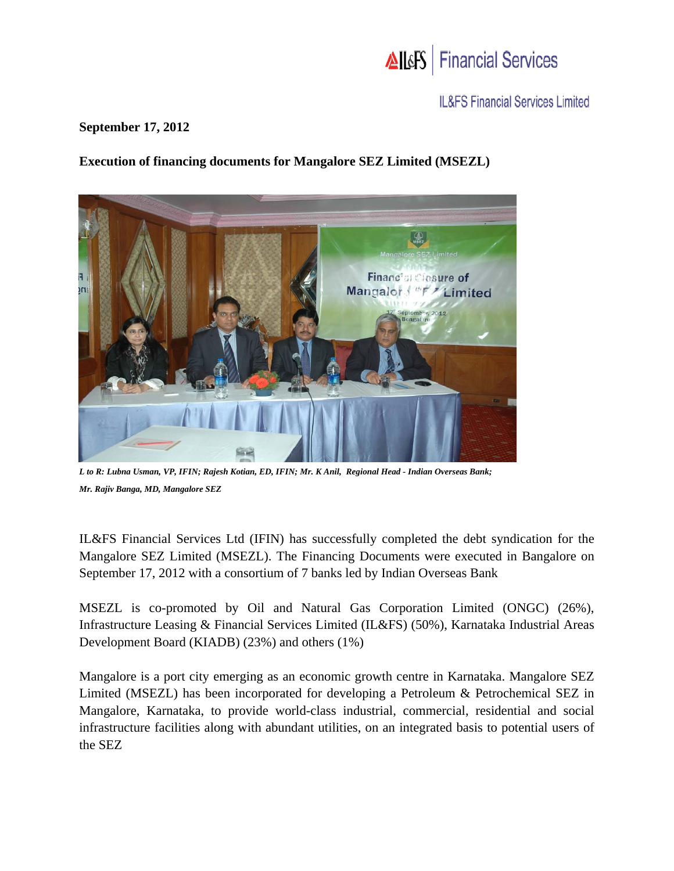

**IL&FS Financial Services Limited** 

## **September 17, 2012**

## **Execution of financing documents for Mangalore SEZ Limited (MSEZL)**



*L to R: Lubna Usman, VP, IFIN; Rajesh Kotian, ED, IFIN; Mr. K Anil, Regional Head - Indian Overseas Bank; Mr. Rajiv Banga, MD, Mangalore SEZ* 

IL&FS Financial Services Ltd (IFIN) has successfully completed the debt syndication for the Mangalore SEZ Limited (MSEZL). The Financing Documents were executed in Bangalore on September 17, 2012 with a consortium of 7 banks led by Indian Overseas Bank

MSEZL is co-promoted by Oil and Natural Gas Corporation Limited (ONGC) (26%), Infrastructure Leasing & Financial Services Limited (IL&FS) (50%), Karnataka Industrial Areas Development Board (KIADB) (23%) and others (1%)

Mangalore is a port city emerging as an economic growth centre in Karnataka. Mangalore SEZ Limited (MSEZL) has been incorporated for developing a Petroleum & Petrochemical SEZ in Mangalore, Karnataka, to provide world-class industrial, commercial, residential and social infrastructure facilities along with abundant utilities, on an integrated basis to potential users of the SEZ